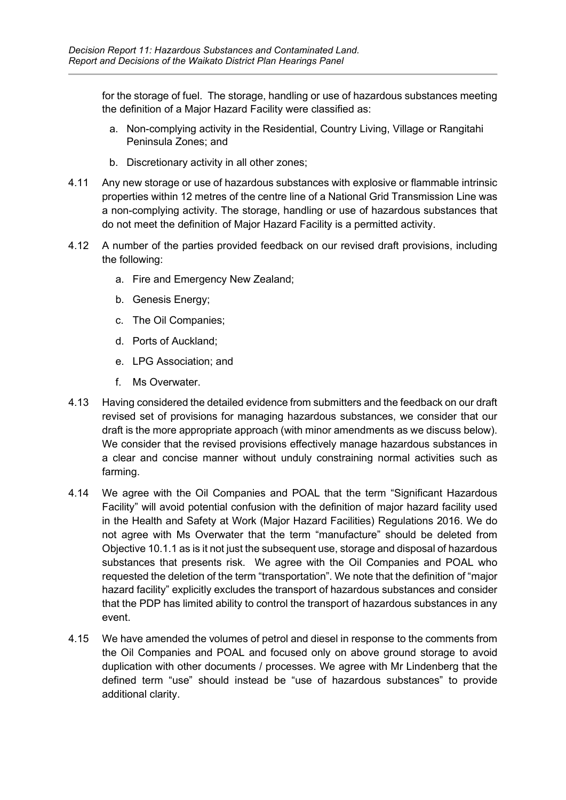for the storage of fuel. The storage, handling or use of hazardous substances meeting the definition of a Major Hazard Facility were classified as:

- a. Non-complying activity in the Residential, Country Living, Village or Rangitahi Peninsula Zones; and
- b. Discretionary activity in all other zones;
- 4.11 Any new storage or use of hazardous substances with explosive or flammable intrinsic properties within 12 metres of the centre line of a National Grid Transmission Line was a non-complying activity. The storage, handling or use of hazardous substances that do not meet the definition of Major Hazard Facility is a permitted activity.
- 4.12 A number of the parties provided feedback on our revised draft provisions, including the following:
	- a. Fire and Emergency New Zealand;
	- b. Genesis Energy;
	- c. The Oil Companies;
	- d. Ports of Auckland;
	- e. LPG Association; and
	- f. Ms Overwater
- 4.13 Having considered the detailed evidence from submitters and the feedback on our draft revised set of provisions for managing hazardous substances, we consider that our draft is the more appropriate approach (with minor amendments as we discuss below). We consider that the revised provisions effectively manage hazardous substances in a clear and concise manner without unduly constraining normal activities such as farming.
- 4.14 We agree with the Oil Companies and POAL that the term "Significant Hazardous Facility" will avoid potential confusion with the definition of major hazard facility used in the Health and Safety at Work (Major Hazard Facilities) Regulations 2016. We do not agree with Ms Overwater that the term "manufacture" should be deleted from Objective 10.1.1 as is it not just the subsequent use, storage and disposal of hazardous substances that presents risk. We agree with the Oil Companies and POAL who requested the deletion of the term "transportation". We note that the definition of "major hazard facility" explicitly excludes the transport of hazardous substances and consider that the PDP has limited ability to control the transport of hazardous substances in any event.
- 4.15 We have amended the volumes of petrol and diesel in response to the comments from the Oil Companies and POAL and focused only on above ground storage to avoid duplication with other documents / processes. We agree with Mr Lindenberg that the defined term "use" should instead be "use of hazardous substances" to provide additional clarity.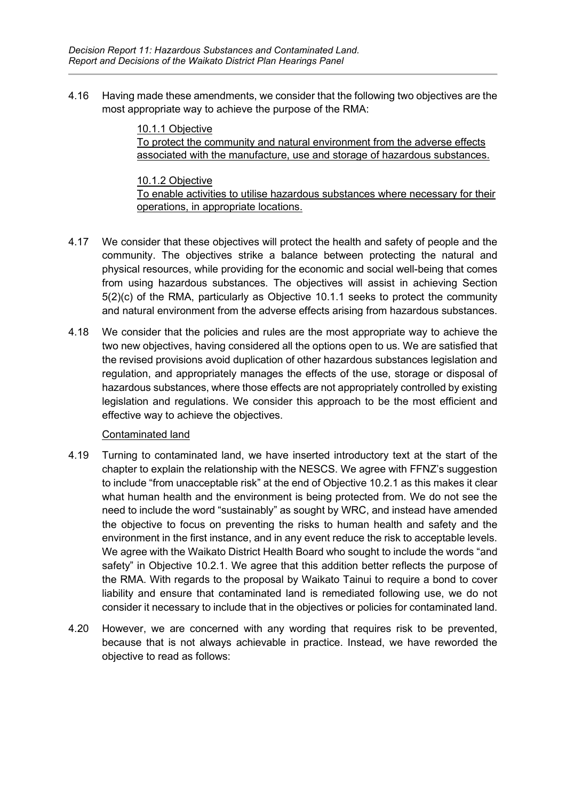4.16 Having made these amendments, we consider that the following two objectives are the most appropriate way to achieve the purpose of the RMA:

> 10.1.1 Objective To protect the community and natural environment from the adverse effects associated with the manufacture, use and storage of hazardous substances.

10.1.2 Objective To enable activities to utilise hazardous substances where necessary for their operations, in appropriate locations.

- 4.17 We consider that these objectives will protect the health and safety of people and the community. The objectives strike a balance between protecting the natural and physical resources, while providing for the economic and social well-being that comes from using hazardous substances. The objectives will assist in achieving Section 5(2)(c) of the RMA, particularly as Objective 10.1.1 seeks to protect the community and natural environment from the adverse effects arising from hazardous substances.
- 4.18 We consider that the policies and rules are the most appropriate way to achieve the two new objectives, having considered all the options open to us. We are satisfied that the revised provisions avoid duplication of other hazardous substances legislation and regulation, and appropriately manages the effects of the use, storage or disposal of hazardous substances, where those effects are not appropriately controlled by existing legislation and regulations. We consider this approach to be the most efficient and effective way to achieve the objectives.

#### Contaminated land

- 4.19 Turning to contaminated land, we have inserted introductory text at the start of the chapter to explain the relationship with the NESCS. We agree with FFNZ's suggestion to include "from unacceptable risk" at the end of Objective 10.2.1 as this makes it clear what human health and the environment is being protected from. We do not see the need to include the word "sustainably" as sought by WRC, and instead have amended the objective to focus on preventing the risks to human health and safety and the environment in the first instance, and in any event reduce the risk to acceptable levels. We agree with the Waikato District Health Board who sought to include the words "and safety" in Objective 10.2.1. We agree that this addition better reflects the purpose of the RMA. With regards to the proposal by Waikato Tainui to require a bond to cover liability and ensure that contaminated land is remediated following use, we do not consider it necessary to include that in the objectives or policies for contaminated land.
- 4.20 However, we are concerned with any wording that requires risk to be prevented, because that is not always achievable in practice. Instead, we have reworded the objective to read as follows: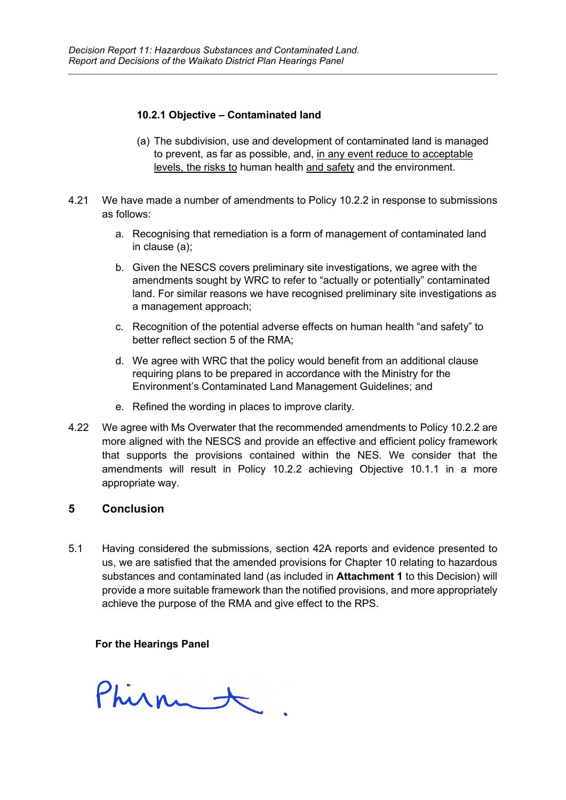#### **10.2.1 Objective – Contaminated land**

- (a) The subdivision, use and development of contaminated land is managed to prevent, as far as possible, and, in any event reduce to acceptable levels, the risks to human health and safety and the environment.
- 4.21 We have made a number of amendments to Policy 10.2.2 in response to submissions as follows:
	- a. Recognising that remediation is a form of management of contaminated land in clause (a);
	- b. Given the NESCS covers preliminary site investigations, we agree with the amendments sought by WRC to refer to "actually or potentially" contaminated land. For similar reasons we have recognised preliminary site investigations as a management approach;
	- c. Recognition of the potential adverse effects on human health "and safety" to better reflect section 5 of the RMA;
	- d. We agree with WRC that the policy would benefit from an additional clause requiring plans to be prepared in accordance with the Ministry for the Environment's Contaminated Land Management Guidelines; and
	- e. Refined the wording in places to improve clarity.
- 4.22 We agree with Ms Overwater that the recommended amendments to Policy 10.2.2 are more aligned with the NESCS and provide an effective and efficient policy framework that supports the provisions contained within the NES. We consider that the amendments will result in Policy 10.2.2 achieving Objective 10.1.1 in a more appropriate way.

#### **5 Conclusion**

5.1 Having considered the submissions, section 42A reports and evidence presented to us, we are satisfied that the amended provisions for Chapter 10 relating to hazardous substances and contaminated land (as included in **Attachment 1** to this Decision) will provide a more suitable framework than the notified provisions, and more appropriately achieve the purpose of the RMA and give effect to the RPS.

#### **For the Hearings Panel**

Phirmet.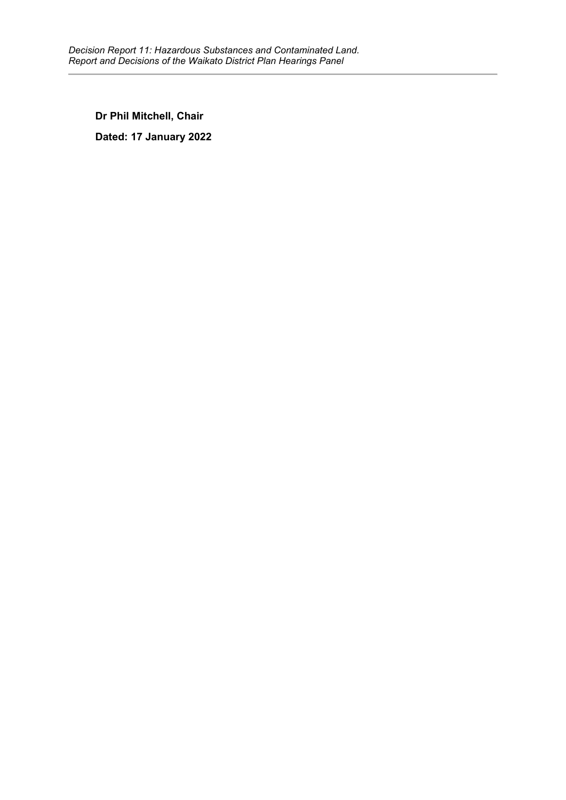**Dr Phil Mitchell, Chair Dated: 17 January 2022**